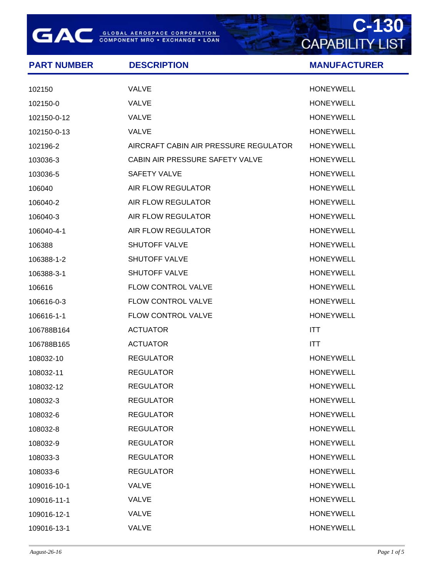**GAC** GLOBAL AEROSPACE CORPORATION

## **C-130**<br>CAPABILITY LIST

| <b>PART NUMBER</b> | <b>DESCRIPTION</b>                    | <b>MANUFACTURER</b> |
|--------------------|---------------------------------------|---------------------|
| 102150             | <b>VALVE</b>                          | <b>HONEYWELL</b>    |
| 102150-0           | <b>VALVE</b>                          | <b>HONEYWELL</b>    |
| 102150-0-12        | <b>VALVE</b>                          | <b>HONEYWELL</b>    |
| 102150-0-13        | <b>VALVE</b>                          | <b>HONEYWELL</b>    |
| 102196-2           | AIRCRAFT CABIN AIR PRESSURE REGULATOR | <b>HONEYWELL</b>    |
| 103036-3           | CABIN AIR PRESSURE SAFETY VALVE       | <b>HONEYWELL</b>    |
| 103036-5           | <b>SAFETY VALVE</b>                   | <b>HONEYWELL</b>    |
| 106040             | AIR FLOW REGULATOR                    | <b>HONEYWELL</b>    |
| 106040-2           | AIR FLOW REGULATOR                    | <b>HONEYWELL</b>    |
| 106040-3           | AIR FLOW REGULATOR                    | <b>HONEYWELL</b>    |
| 106040-4-1         | AIR FLOW REGULATOR                    | <b>HONEYWELL</b>    |
| 106388             | <b>SHUTOFF VALVE</b>                  | <b>HONEYWELL</b>    |
| 106388-1-2         | <b>SHUTOFF VALVE</b>                  | <b>HONEYWELL</b>    |
| 106388-3-1         | <b>SHUTOFF VALVE</b>                  | <b>HONEYWELL</b>    |
| 106616             | FLOW CONTROL VALVE                    | <b>HONEYWELL</b>    |
| 106616-0-3         | FLOW CONTROL VALVE                    | <b>HONEYWELL</b>    |
| 106616-1-1         | FLOW CONTROL VALVE                    | <b>HONEYWELL</b>    |
| 106788B164         | <b>ACTUATOR</b>                       | <b>ITT</b>          |
| 106788B165         | <b>ACTUATOR</b>                       | <b>ITT</b>          |
| 108032-10          | <b>REGULATOR</b>                      | <b>HONEYWELL</b>    |
| 108032-11          | <b>REGULATOR</b>                      | <b>HONEYWELL</b>    |
| 108032-12          | <b>REGULATOR</b>                      | <b>HONEYWELL</b>    |
| 108032-3           | <b>REGULATOR</b>                      | <b>HONEYWELL</b>    |
| 108032-6           | <b>REGULATOR</b>                      | <b>HONEYWELL</b>    |
| 108032-8           | <b>REGULATOR</b>                      | <b>HONEYWELL</b>    |
| 108032-9           | <b>REGULATOR</b>                      | <b>HONEYWELL</b>    |
| 108033-3           | <b>REGULATOR</b>                      | <b>HONEYWELL</b>    |
| 108033-6           | <b>REGULATOR</b>                      | <b>HONEYWELL</b>    |
| 109016-10-1        | <b>VALVE</b>                          | <b>HONEYWELL</b>    |
| 109016-11-1        | <b>VALVE</b>                          | <b>HONEYWELL</b>    |
| 109016-12-1        | VALVE                                 | <b>HONEYWELL</b>    |
| 109016-13-1        | VALVE                                 | <b>HONEYWELL</b>    |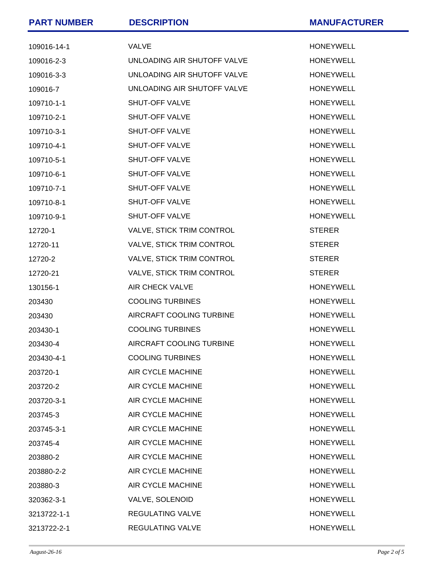| <b>PART NUMBER</b> | <b>DESCRIPTION</b>          | <b>MANUFACTURER</b> |
|--------------------|-----------------------------|---------------------|
| 109016-14-1        | <b>VALVE</b>                | <b>HONEYWELL</b>    |
| 109016-2-3         | UNLOADING AIR SHUTOFF VALVE | <b>HONEYWELL</b>    |
| 109016-3-3         | UNLOADING AIR SHUTOFF VALVE | <b>HONEYWELL</b>    |
| 109016-7           | UNLOADING AIR SHUTOFF VALVE | <b>HONEYWELL</b>    |
| 109710-1-1         | SHUT-OFF VALVE              | <b>HONEYWELL</b>    |
| 109710-2-1         | SHUT-OFF VALVE              | <b>HONEYWELL</b>    |
| 109710-3-1         | SHUT-OFF VALVE              | <b>HONEYWELL</b>    |
| 109710-4-1         | SHUT-OFF VALVE              | <b>HONEYWELL</b>    |
| 109710-5-1         | SHUT-OFF VALVE              | <b>HONEYWELL</b>    |
| 109710-6-1         | SHUT-OFF VALVE              | <b>HONEYWELL</b>    |
| 109710-7-1         | SHUT-OFF VALVE              | <b>HONEYWELL</b>    |
| 109710-8-1         | SHUT-OFF VALVE              | <b>HONEYWELL</b>    |
| 109710-9-1         | SHUT-OFF VALVE              | <b>HONEYWELL</b>    |
| 12720-1            | VALVE, STICK TRIM CONTROL   | <b>STERER</b>       |
| 12720-11           | VALVE, STICK TRIM CONTROL   | <b>STERER</b>       |
| 12720-2            | VALVE, STICK TRIM CONTROL   | <b>STERER</b>       |
| 12720-21           | VALVE, STICK TRIM CONTROL   | <b>STERER</b>       |
| 130156-1           | <b>AIR CHECK VALVE</b>      | <b>HONEYWELL</b>    |
| 203430             | <b>COOLING TURBINES</b>     | <b>HONEYWELL</b>    |
| 203430             | AIRCRAFT COOLING TURBINE    | <b>HONEYWELL</b>    |
| 203430-1           | <b>COOLING TURBINES</b>     | <b>HONEYWELL</b>    |
| 203430-4           | AIRCRAFT COOLING TURBINE    | <b>HONEYWELL</b>    |
| 203430-4-1         | <b>COOLING TURBINES</b>     | <b>HONEYWELL</b>    |
| 203720-1           | AIR CYCLE MACHINE           | <b>HONEYWELL</b>    |
| 203720-2           | AIR CYCLE MACHINE           | <b>HONEYWELL</b>    |
| 203720-3-1         | AIR CYCLE MACHINE           | <b>HONEYWELL</b>    |
| 203745-3           | AIR CYCLE MACHINE           | <b>HONEYWELL</b>    |
| 203745-3-1         | <b>AIR CYCLE MACHINE</b>    | <b>HONEYWELL</b>    |
| 203745-4           | <b>AIR CYCLE MACHINE</b>    | <b>HONEYWELL</b>    |
| 203880-2           | AIR CYCLE MACHINE           | <b>HONEYWELL</b>    |
| 203880-2-2         | AIR CYCLE MACHINE           | <b>HONEYWELL</b>    |
| 203880-3           | AIR CYCLE MACHINE           | <b>HONEYWELL</b>    |
| 320362-3-1         | VALVE, SOLENOID             | <b>HONEYWELL</b>    |
| 3213722-1-1        | <b>REGULATING VALVE</b>     | <b>HONEYWELL</b>    |
| 3213722-2-1        | <b>REGULATING VALVE</b>     | <b>HONEYWELL</b>    |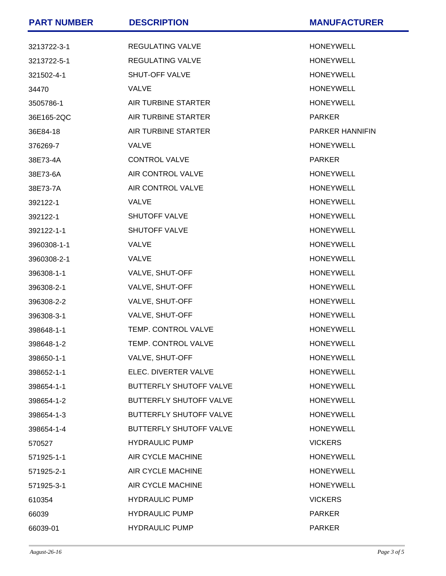| <b>PART NUMBER</b> | <b>DESCRIPTION</b>             | <b>MANUFACTURER</b>    |
|--------------------|--------------------------------|------------------------|
| 3213722-3-1        | <b>REGULATING VALVE</b>        | <b>HONEYWELL</b>       |
| 3213722-5-1        | REGULATING VALVE               | <b>HONEYWELL</b>       |
| 321502-4-1         | SHUT-OFF VALVE                 | <b>HONEYWELL</b>       |
| 34470              | <b>VALVE</b>                   | <b>HONEYWELL</b>       |
| 3505786-1          | AIR TURBINE STARTER            | <b>HONEYWELL</b>       |
| 36E165-2QC         | AIR TURBINE STARTER            | <b>PARKER</b>          |
| 36E84-18           | AIR TURBINE STARTER            | <b>PARKER HANNIFIN</b> |
| 376269-7           | <b>VALVE</b>                   | <b>HONEYWELL</b>       |
| 38E73-4A           | <b>CONTROL VALVE</b>           | <b>PARKER</b>          |
| 38E73-6A           | <b>AIR CONTROL VALVE</b>       | <b>HONEYWELL</b>       |
| 38E73-7A           | AIR CONTROL VALVE              | <b>HONEYWELL</b>       |
| 392122-1           | <b>VALVE</b>                   | <b>HONEYWELL</b>       |
| 392122-1           | <b>SHUTOFF VALVE</b>           | <b>HONEYWELL</b>       |
| 392122-1-1         | <b>SHUTOFF VALVE</b>           | <b>HONEYWELL</b>       |
| 3960308-1-1        | <b>VALVE</b>                   | <b>HONEYWELL</b>       |
| 3960308-2-1        | <b>VALVE</b>                   | <b>HONEYWELL</b>       |
| 396308-1-1         | VALVE, SHUT-OFF                | <b>HONEYWELL</b>       |
| 396308-2-1         | VALVE, SHUT-OFF                | <b>HONEYWELL</b>       |
| 396308-2-2         | VALVE, SHUT-OFF                | <b>HONEYWELL</b>       |
| 396308-3-1         | VALVE, SHUT-OFF                | <b>HONEYWELL</b>       |
| 398648-1-1         | TEMP. CONTROL VALVE            | <b>HONEYWELL</b>       |
| 398648-1-2         | <b>TEMP. CONTROL VALVE</b>     | <b>HONEYWELL</b>       |
| 398650-1-1         | VALVE, SHUT-OFF                | <b>HONEYWELL</b>       |
| 398652-1-1         | ELEC. DIVERTER VALVE           | <b>HONEYWELL</b>       |
| 398654-1-1         | <b>BUTTERFLY SHUTOFF VALVE</b> | <b>HONEYWELL</b>       |
| 398654-1-2         | <b>BUTTERFLY SHUTOFF VALVE</b> | <b>HONEYWELL</b>       |
| 398654-1-3         | <b>BUTTERFLY SHUTOFF VALVE</b> | <b>HONEYWELL</b>       |
| 398654-1-4         | <b>BUTTERFLY SHUTOFF VALVE</b> | <b>HONEYWELL</b>       |
| 570527             | <b>HYDRAULIC PUMP</b>          | <b>VICKERS</b>         |
| 571925-1-1         | AIR CYCLE MACHINE              | <b>HONEYWELL</b>       |
| 571925-2-1         | AIR CYCLE MACHINE              | <b>HONEYWELL</b>       |
| 571925-3-1         | AIR CYCLE MACHINE              | <b>HONEYWELL</b>       |
| 610354             | <b>HYDRAULIC PUMP</b>          | <b>VICKERS</b>         |
| 66039              | <b>HYDRAULIC PUMP</b>          | <b>PARKER</b>          |
| 66039-01           | <b>HYDRAULIC PUMP</b>          | <b>PARKER</b>          |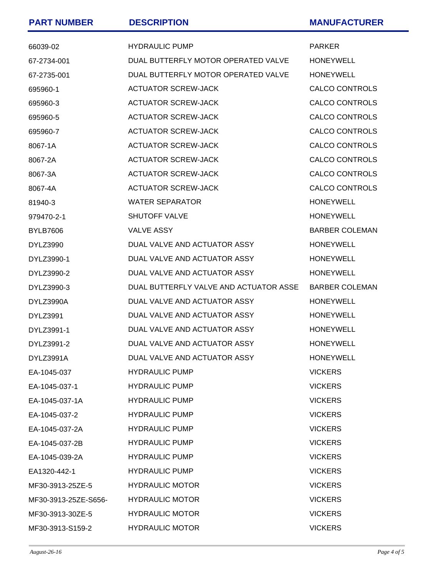| <b>PART NUMBER</b>   | <b>DESCRIPTION</b>                     | <b>MANUFACTURER</b>   |
|----------------------|----------------------------------------|-----------------------|
| 66039-02             | <b>HYDRAULIC PUMP</b>                  | <b>PARKER</b>         |
| 67-2734-001          | DUAL BUTTERFLY MOTOR OPERATED VALVE    | <b>HONEYWELL</b>      |
| 67-2735-001          | DUAL BUTTERFLY MOTOR OPERATED VALVE    | <b>HONEYWELL</b>      |
| 695960-1             | <b>ACTUATOR SCREW-JACK</b>             | <b>CALCO CONTROLS</b> |
| 695960-3             | <b>ACTUATOR SCREW-JACK</b>             | <b>CALCO CONTROLS</b> |
| 695960-5             | <b>ACTUATOR SCREW-JACK</b>             | <b>CALCO CONTROLS</b> |
| 695960-7             | <b>ACTUATOR SCREW-JACK</b>             | <b>CALCO CONTROLS</b> |
| 8067-1A              | <b>ACTUATOR SCREW-JACK</b>             | <b>CALCO CONTROLS</b> |
| 8067-2A              | <b>ACTUATOR SCREW-JACK</b>             | <b>CALCO CONTROLS</b> |
| 8067-3A              | <b>ACTUATOR SCREW-JACK</b>             | <b>CALCO CONTROLS</b> |
| 8067-4A              | <b>ACTUATOR SCREW-JACK</b>             | <b>CALCO CONTROLS</b> |
| 81940-3              | <b>WATER SEPARATOR</b>                 | <b>HONEYWELL</b>      |
| 979470-2-1           | <b>SHUTOFF VALVE</b>                   | <b>HONEYWELL</b>      |
| <b>BYLB7606</b>      | <b>VALVE ASSY</b>                      | <b>BARBER COLEMAN</b> |
| <b>DYLZ3990</b>      | DUAL VALVE AND ACTUATOR ASSY           | <b>HONEYWELL</b>      |
| DYLZ3990-1           | DUAL VALVE AND ACTUATOR ASSY           | <b>HONEYWELL</b>      |
| DYLZ3990-2           | DUAL VALVE AND ACTUATOR ASSY           | <b>HONEYWELL</b>      |
| DYLZ3990-3           | DUAL BUTTERFLY VALVE AND ACTUATOR ASSE | <b>BARBER COLEMAN</b> |
| DYLZ3990A            | DUAL VALVE AND ACTUATOR ASSY           | <b>HONEYWELL</b>      |
| <b>DYLZ3991</b>      | DUAL VALVE AND ACTUATOR ASSY           | <b>HONEYWELL</b>      |
| DYLZ3991-1           | DUAL VALVE AND ACTUATOR ASSY           | <b>HONEYWELL</b>      |
| DYLZ3991-2           | DUAL VALVE AND ACTUATOR ASSY           | <b>HONEYWELL</b>      |
| DYLZ3991A            | DUAL VALVE AND ACTUATOR ASSY           | <b>HONEYWELL</b>      |
| EA-1045-037          | <b>HYDRAULIC PUMP</b>                  | <b>VICKERS</b>        |
| EA-1045-037-1        | <b>HYDRAULIC PUMP</b>                  | <b>VICKERS</b>        |
| EA-1045-037-1A       | <b>HYDRAULIC PUMP</b>                  | <b>VICKERS</b>        |
| EA-1045-037-2        | <b>HYDRAULIC PUMP</b>                  | <b>VICKERS</b>        |
| EA-1045-037-2A       | <b>HYDRAULIC PUMP</b>                  | <b>VICKERS</b>        |
| EA-1045-037-2B       | <b>HYDRAULIC PUMP</b>                  | <b>VICKERS</b>        |
| EA-1045-039-2A       | <b>HYDRAULIC PUMP</b>                  | <b>VICKERS</b>        |
| EA1320-442-1         | <b>HYDRAULIC PUMP</b>                  | <b>VICKERS</b>        |
| MF30-3913-25ZE-5     | <b>HYDRAULIC MOTOR</b>                 | <b>VICKERS</b>        |
| MF30-3913-25ZE-S656- | <b>HYDRAULIC MOTOR</b>                 | <b>VICKERS</b>        |
| MF30-3913-30ZE-5     | <b>HYDRAULIC MOTOR</b>                 | <b>VICKERS</b>        |
| MF30-3913-S159-2     | <b>HYDRAULIC MOTOR</b>                 | <b>VICKERS</b>        |